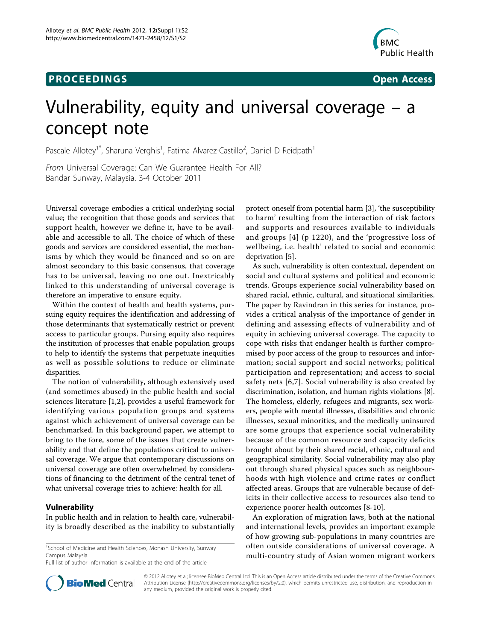## **PROCEEDINGS CONSIDERING S** Open Access



# Vulnerability, equity and universal coverage – a concept note

Pascale Allotey<sup>1\*</sup>, Sharuna Verghis<sup>1</sup>, Fatima Alvarez-Castillo<sup>2</sup>, Daniel D Reidpath<sup>1</sup>

From Universal Coverage: Can We Guarantee Health For All? Bandar Sunway, Malaysia. 3-4 October 2011

Universal coverage embodies a critical underlying social value; the recognition that those goods and services that support health, however we define it, have to be available and accessible to all. The choice of which of these goods and services are considered essential, the mechanisms by which they would be financed and so on are almost secondary to this basic consensus, that coverage has to be universal, leaving no one out. Inextricably linked to this understanding of universal coverage is therefore an imperative to ensure equity.

Within the context of health and health systems, pursuing equity requires the identification and addressing of those determinants that systematically restrict or prevent access to particular groups. Pursing equity also requires the institution of processes that enable population groups to help to identify the systems that perpetuate inequities as well as possible solutions to reduce or eliminate disparities.

The notion of vulnerability, although extensively used (and sometimes abused) in the public health and social sciences literature [[1,2\]](#page-2-0), provides a useful framework for identifying various population groups and systems against which achievement of universal coverage can be benchmarked. In this background paper, we attempt to bring to the fore, some of the issues that create vulnerability and that define the populations critical to universal coverage. We argue that contemporary discussions on universal coverage are often overwhelmed by considerations of financing to the detriment of the central tenet of what universal coverage tries to achieve: health for all.

## Vulnerability

In public health and in relation to health care, vulnerability is broadly described as the inability to substantially

<sup>1</sup>School of Medicine and Health Sciences, Monash University, Sunway Campus Malaysia

Full list of author information is available at the end of the article

protect oneself from potential harm [[3\]](#page-2-0), 'the susceptibility to harm' resulting from the interaction of risk factors and supports and resources available to individuals and groups [\[4\]](#page-2-0) (p 1220), and the 'progressive loss of wellbeing, i.e. health' related to social and economic deprivation [[5](#page-2-0)].

As such, vulnerability is often contextual, dependent on social and cultural systems and political and economic trends. Groups experience social vulnerability based on shared racial, ethnic, cultural, and situational similarities. The paper by Ravindran in this series for instance, provides a critical analysis of the importance of gender in defining and assessing effects of vulnerability and of equity in achieving universal coverage. The capacity to cope with risks that endanger health is further compromised by poor access of the group to resources and information; social support and social networks; political participation and representation; and access to social safety nets [[6,7\]](#page-2-0). Social vulnerability is also created by discrimination, isolation, and human rights violations [\[8](#page-2-0)]. The homeless, elderly, refugees and migrants, sex workers, people with mental illnesses, disabilities and chronic illnesses, sexual minorities, and the medically uninsured are some groups that experience social vulnerability because of the common resource and capacity deficits brought about by their shared racial, ethnic, cultural and geographical similarity. Social vulnerability may also play out through shared physical spaces such as neighbourhoods with high violence and crime rates or conflict affected areas. Groups that are vulnerable because of deficits in their collective access to resources also tend to experience poorer health outcomes [[8](#page-2-0)-[10\]](#page-2-0).

An exploration of migration laws, both at the national and international levels, provides an important example of how growing sub-populations in many countries are often outside considerations of universal coverage. A multi-country study of Asian women migrant workers



© 2012 Allotey et al; licensee BioMed Central Ltd. This is an Open Access article distributed under the terms of the Creative Commons Attribution License [\(http://creativecommons.org/licenses/by/2.0](http://creativecommons.org/licenses/by/2.0)), which permits unrestricted use, distribution, and reproduction in any medium, provided the original work is properly cited.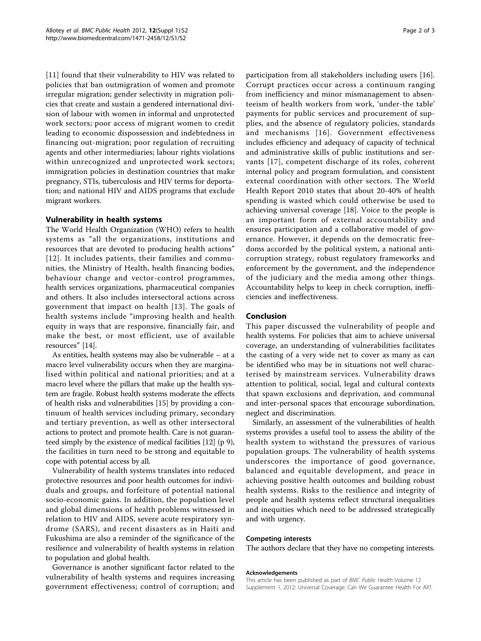[[11](#page-2-0)] found that their vulnerability to HIV was related to policies that ban outmigration of women and promote irregular migration; gender selectivity in migration policies that create and sustain a gendered international division of labour with women in informal and unprotected work sectors; poor access of migrant women to credit leading to economic dispossession and indebtedness in financing out-migration; poor regulation of recruiting agents and other intermediaries; labour rights violations within unrecognized and unprotected work sectors; immigration policies in destination countries that make pregnancy, STIs, tuberculosis and HIV terms for deportation; and national HIV and AIDS programs that exclude migrant workers.

## Vulnerability in health systems

The World Health Organization (WHO) refers to health systems as "all the organizations, institutions and resources that are devoted to producing health actions" [[12\]](#page-2-0). It includes patients, their families and communities, the Ministry of Health, health financing bodies, behaviour change and vector-control programmes, health services organizations, pharmaceutical companies and others. It also includes intersectoral actions across government that impact on health [[13](#page-2-0)]. The goals of health systems include "improving health and health equity in ways that are responsive, financially fair, and make the best, or most efficient, use of available resources" [[14\]](#page-2-0).

As entities, health systems may also be vulnerable – at a macro level vulnerability occurs when they are marginalised within political and national priorities; and at a macro level where the pillars that make up the health system are fragile. Robust health systems moderate the effects of health risks and vulnerabilities [[15\]](#page-2-0) by providing a continuum of health services including primary, secondary and tertiary prevention, as well as other intersectoral actions to protect and promote health. Care is not guaranteed simply by the existence of medical facilities [\[12\]](#page-2-0) (p 9), the facilities in turn need to be strong and equitable to cope with potential access by all.

Vulnerability of health systems translates into reduced protective resources and poor health outcomes for individuals and groups, and forfeiture of potential national socio-economic gains. In addition, the population level and global dimensions of health problems witnessed in relation to HIV and AIDS, severe acute respiratory syndrome (SARS), and recent disasters as in Haiti and Fukushima are also a reminder of the significance of the resilience and vulnerability of health systems in relation to population and global health.

Governance is another significant factor related to the vulnerability of health systems and requires increasing government effectiveness; control of corruption; and participation from all stakeholders including users [\[16](#page-2-0)]. Corrupt practices occur across a continuum ranging from inefficiency and minor mismanagement to absenteeism of health workers from work, 'under-the table' payments for public services and procurement of supplies, and the absence of regulatory policies, standards and mechanisms [[16](#page-2-0)]. Government effectiveness includes efficiency and adequacy of capacity of technical and administrative skills of public institutions and servants [\[17\]](#page-2-0), competent discharge of its roles, coherent internal policy and program formulation, and consistent external coordination with other sectors. The World Health Report 2010 states that about 20-40% of health spending is wasted which could otherwise be used to achieving universal coverage [[18\]](#page-2-0). Voice to the people is an important form of external accountability and ensures participation and a collaborative model of governance. However, it depends on the democratic freedoms accorded by the political system, a national anticorruption strategy, robust regulatory frameworks and enforcement by the government, and the independence of the judiciary and the media among other things. Accountability helps to keep in check corruption, inefficiencies and ineffectiveness.

## Conclusion

This paper discussed the vulnerability of people and health systems. For policies that aim to achieve universal coverage, an understanding of vulnerabilities facilitates the casting of a very wide net to cover as many as can be identified who may be in situations not well characterised by mainstream services. Vulnerability draws attention to political, social, legal and cultural contexts that spawn exclusions and deprivation, and communal and inter-personal spaces that encourage subordination, neglect and discrimination.

Similarly, an assessment of the vulnerabilities of health systems provides a useful tool to assess the ability of the health system to withstand the pressures of various population groups. The vulnerability of health systems underscores the importance of good governance, balanced and equitable development, and peace in achieving positive health outcomes and building robust health systems. Risks to the resilience and integrity of people and health systems reflect structural inequalities and inequities which need to be addressed strategically and with urgency.

## Competing interests

The authors declare that they have no competing interests.

#### Acknowledgements

This article has been published as part of BMC Public Health Volume 12 Supplement 1, 2012: Universal Coverage: Can We Guarantee Health For All?.